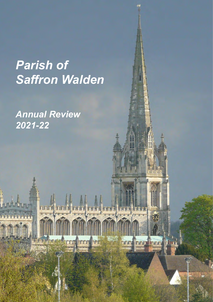# *Parish of Saffron Walden*

**TIE Trn** 

**PFI** 

ξij.

**Innual lines** 

**UTUTU** 

*Annual Review 2021-22*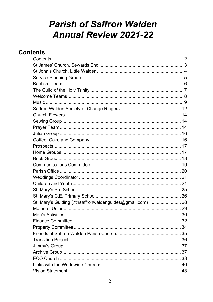## **Parish of Saffron Walden Annual Review 2021-22**

## <span id="page-1-0"></span>**Contents**

| St. Mary's Guiding (7thsaffronwaldenguides@gmail.com)  28 |  |
|-----------------------------------------------------------|--|
|                                                           |  |
|                                                           |  |
|                                                           |  |
|                                                           |  |
|                                                           |  |
|                                                           |  |
|                                                           |  |
|                                                           |  |
|                                                           |  |
|                                                           |  |
|                                                           |  |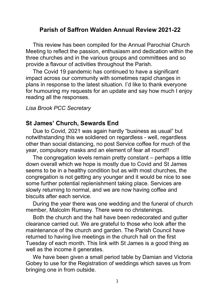## **Parish of Saffron Walden Annual Review 2021-22**

This review has been compiled for the Annual Parochial Church Meeting to reflect the passion, enthusiasm and dedication within the three churches and in the various groups and committees and so provide a flavour of activities throughout the Parish.

The Covid 19 pandemic has continued to have a significant impact across our community with sometimes rapid changes in plans in response to the latest situation. I'd like to thank everyone for humouring my requests for an update and say how much I enjoy reading all the responses.

#### *Lisa Brook PCC Secretary*

### <span id="page-2-0"></span>**St James' Church, Sewards End**

Due to Covid, 2021 was again hardly "business as usual" but notwithstanding this we soldiered on regardless - well, regardless other than social distancing, no post Service coffee for much of the year, compulsory masks and an element of fear all round!!

The congregation levels remain pretty constant – perhaps a little down overall which we hope is mostly due to Covid and St James seems to be in a healthy condition but as with most churches, the congregation is not getting any younger and it would be nice to see some further potential replenishment taking place. Services are slowly returning to normal, and we are now having coffee and biscuits after each service.

During the year there was one wedding and the funeral of church member, Malcolm Rumsey. There were no christenings.

Both the church and the hall have been redecorated and gutter clearance carried out. We are grateful to those who look after the maintenance of the church and garden. The Parish Council have returned to having live meetings in the church hall on the first Tuesday of each month. This link with St James is a good thing as well as the income it generates.

We have been given a small period table by Damian and Victoria Gobey to use for the Registration of weddings which saves us from bringing one in from outside.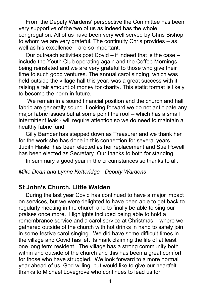From the Deputy Wardens' perspective the Committee has been very supportive of the two of us as indeed has the whole congregation. All of us have been very well served by Chris Bishop to whom we are very grateful. The continuity Chris provides – as well as his excellence – are so important.

Our outreach activities post Covid – if indeed that is the case – include the Youth Club operating again and the Coffee Mornings being reinstated and we are very grateful to those who give their time to such good ventures. The annual carol singing, which was held outside the village hall this year, was a great success with it raising a fair amount of money for charity. This static format is likely to become the norm in future.

We remain in a sound financial position and the church and hall fabric are generally sound. Looking forward we do not anticipate any major fabric issues but at some point the roof – which has a small intermittent leak - will require attention so we do need to maintain a healthy fabric fund.

Gilly Bamber has stepped down as Treasurer and we thank her for the work she has done in this connection for several years. Judith Hasler has been elected as her replacement and Sue Powell has been elected as Secretary. Our thanks to both for standing.

In summary a good year in the circumstances so thanks to all.

#### *Mike Dean and Lynne Ketteridge - Deputy Wardens*

## <span id="page-3-0"></span>**St John's Church, Little Walden**

During the last year Covid has continued to have a major impact on services, but we were delighted to have been able to get back to regularly meeting in the church and to finally be able to sing our praises once more. Highlights included being able to hold a remembrance service and a carol service at Christmas – where we gathered outside of the church with hot drinks in hand to safely join in some festive carol singing. We did have some difficult times in the village and Covid has left its mark claiming the life of at least one long term resident. The village has a strong community both within and outside of the church and this has been a great comfort for those who have struggled. We look forward to a more normal year ahead of us, God willing, but would like to give our heartfelt thanks to Michael Lovegrove who continues to lead us for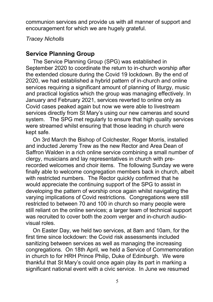communion services and provide us with all manner of support and encouragement for which we are hugely grateful.

*Tracey Nicholls*

## <span id="page-4-0"></span>**Service Planning Group**

The Service Planning Group (SPG) was established in September 2020 to coordinate the return to in-church worship after the extended closure during the Covid 19 lockdown. By the end of 2020, we had established a hybrid pattern of in-church and online services requiring a significant amount of planning of liturgy, music and practical logistics which the group was managing effectively. In January and February 2021, services reverted to online only as Covid cases peaked again but now we were able to livestream services directly from St Mary's using our new cameras and sound system. The SPG met regularly to ensure that high quality services were streamed whilst ensuring that those leading in church were kept safe.

On 3rd March the Bishop of Colchester, Roger Morris, installed and inducted Jeremy Trew as the new Rector and Area Dean of Saffron Walden in a rich online service combining a small number of clergy, musicians and lay representatives in church with prerecorded welcomes and choir items. The following Sunday we were finally able to welcome congregation members back in church, albeit with restricted numbers. The Rector quickly confirmed that he would appreciate the continuing support of the SPG to assist in developing the pattern of worship once again whilst navigating the varying implications of Covid restrictions. Congregations were still restricted to between 70 and 100 in church so many people were still reliant on the online services; a larger team of technical support was recruited to cover both the zoom verger and in-church audiovisual roles.

On Easter Day, we held two services, at 8am and 10am, for the first time since lockdown: the Covid risk assessments included sanitizing between services as well as managing the increasing congregations. On 18th April, we held a Service of Commemoration in church to for HRH Prince Philip, Duke of Edinburgh. We were thankful that St Mary's could once again play its part in marking a significant national event with a civic service. In June we resumed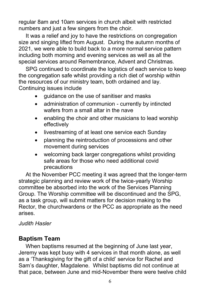regular 8am and 10am services in church albeit with restricted numbers and just a few singers from the choir.

It was a relief and joy to have the restrictions on congregation size and singing lifted from August. During the autumn months of 2021, we were able to build back to a more normal service pattern including both morning and evening services as well as all the special services around Remembrance, Advent and Christmas.

SPG continued to coordinate the logistics of each service to keep the congregation safe whilst providing a rich diet of worship within the resources of our ministry team, both ordained and lay. Continuing issues include

- guidance on the use of sanitiser and masks
- administration of communion currently by intincted wafers from a small altar in the nave
- enabling the choir and other musicians to lead worship effectively
- livestreaming of at least one service each Sunday
- planning the reintroduction of processions and other movement during services
- welcoming back larger congregations whilst providing safe areas for those who need additional covid precautions

At the November PCC meeting it was agreed that the longer-term strategic planning and review work of the twice-yearly Worship committee be absorbed into the work of the Services Planning Group. The Worship committee will be discontinued and the SPG, as a task group, will submit matters for decision making to the Rector, the churchwardens or the PCC as appropriate as the need arises.

## *Judith Hasler*

## <span id="page-5-0"></span>**Baptism Team**

When baptisms resumed at the beginning of June last year, Jeremy was kept busy with 4 services in that month alone, as well as a 'Thanksgiving for the gift of a child' service for Rachel and Sam's daughter, Magdalene. Whilst baptisms did not continue at that pace, between June and mid-November there were twelve child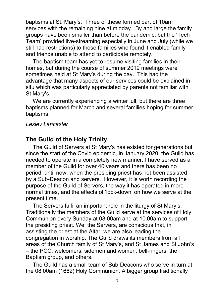baptisms at St. Mary's. Three of these formed part of 10am services with the remaining nine at midday. By and large the family groups have been smaller than before the pandemic, but the 'Tech Team' provided live-streaming especially in June and July (while we still had restrictions) to those families who found it enabled family and friends unable to attend to participate remotely.

The baptism team has yet to resume visiting families in their homes, but during the course of summer 2019 meetings were sometimes held at St Mary's during the day. This had the advantage that many aspects of our services could be explained in situ which was particularly appreciated by parents not familiar with St Mary's.

We are currently experiencing a winter lull, but there are three baptisms planned for March and several families hoping for summer baptisms.

### *Lesley Lancaster*

## <span id="page-6-0"></span>**The Guild of the Holy Trinity**

The Guild of Servers at St Mary's has existed for generations but since the start of the Covid epidemic, in January 2020, the Guild has needed to operate in a completely new manner. I have served as a member of the Guild for over 40 years and there has been no period, until now, when the presiding priest has not been assisted by a Sub-Deacon and servers. However, it is worth recording the purpose of the Guild of Servers, the way it has operated in more normal times, and the effects of 'lock-down' on how we serve at the present time.

The Servers fulfil an important role in the liturgy of St Mary's. Traditionally the members of the Guild serve at the services of Holy Communion every Sunday at 08.00am and at 10.00am to support the presiding priest. We, the Servers, are conscious that, in assisting the priest at the Altar, we are also leading the congregation in worship. The Guild draws its members from all areas of the Church family of St Mary's, and St James and St John's – the PCC, welcomers, sidemen and women, bell-ringers, the Baptism group, and others.

The Guild has a small team of Sub-Deacons who serve in turn at the 08.00am (1662) Holy Communion. A bigger group traditionally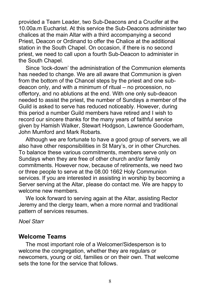provided a Team Leader, two Sub-Deacons and a Crucifer at the 10.00a.m Eucharist. At this service the Sub-Deacons administer two chalices at the main Altar with a third accompanying a second Priest, Deacon or Ordinand to offer the Chalice at the additional station in the South Chapel. On occasion, if there is no second priest, we need to call upon a fourth Sub-Deacon to administer in the South Chapel.

Since 'lock-down' the administration of the Communion elements has needed to change. We are all aware that Communion is given from the bottom of the Chancel steps by the priest and one subdeacon only, and with a minimum of ritual – no procession, no offertory, and no ablutions at the end. With one only sub-deacon needed to assist the priest, the number of Sundays a member of the Guild is asked to serve has reduced noticeably. However, during this period a number Guild members have retired and I wish to record our sincere thanks for the many years of faithful service given by Hamish Walker, Stewart Hodgson, Lawrence Gooderham, John Mumford and Mark Robarts.

Although we are fortunate to have a good group of servers, we all also have other responsibilities in St Mary's, or in other Churches. To balance these various commitments, members serve only on Sundays when they are free of other church and/or family commitments. However now, because of retirements, we need two or three people to serve at the 08.00 1662 Holy Communion services. If you are interested in assisting in worship by becoming a Server serving at the Altar, please do contact me. We are happy to welcome new members.

We look forward to serving again at the Altar, assisting Rector Jeremy and the clergy team, when a more normal and traditional pattern of services resumes.

#### *Noel Starr*

#### <span id="page-7-0"></span>**Welcome Teams**

The most important role of a Welcomer/Sidesperson is to welcome the congregation, whether they are regulars or newcomers, young or old, families or on their own. That welcome sets the tone for the service that follows.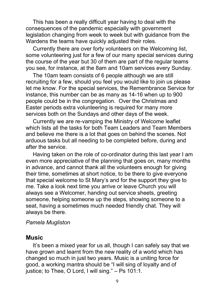This has been a really difficult year having to deal with the consequences of the pandemic especially with government legislation changing from week to week but with guidance from the Wardens the teams have quickly adjusted their roles.

Currently there are over forty volunteers on the Welcoming list, some volunteering just for a few of our many special services during the course of the year but 30 of them are part of the regular teams you see, for instance, at the 8am and 10am services every Sunday.

The 10am team consists of 6 people although we are still recruiting for a few, should you feel you would like to join us please let me know. For the special services, the Remembrance Service for instance, this number can be as many as 14-16 when up to 900 people could be in the congregation. Over the Christmas and Easter periods extra volunteering is required for many more services both on the Sundays and other days of the week.

Currently we are re-vamping the Ministry of Welcome leaflet which lists all the tasks for both Team Leaders and Team Members and believe me there is a lot that goes on behind the scenes. Not arduous tasks but all needing to be completed before, during and after the service.

Having taken on the role of co-ordinator during this last year I am even more appreciative of the planning that goes on, many months in advance, and cannot thank all the volunteers enough for giving their time, sometimes at short notice, to be there to give everyone that special welcome to St Mary's and for the support they give to me. Take a look next time you arrive or leave Church you will always see a Welcomer, handing out service sheets, greeting someone, helping someone up the steps, showing someone to a seat, having a sometimes much needed friendly chat. They will always be there.

#### *Pamela Mugliston*

#### <span id="page-8-0"></span>**Music**

It's been a mixed year for us all, though I can safely say that we have grown and learnt from the new reality of a world which has changed so much in just two years. Music is a uniting force for good, a working mantra should be "I will sing of loyalty and of justice; to Thee, O Lord, I will sing." - Ps 101:1.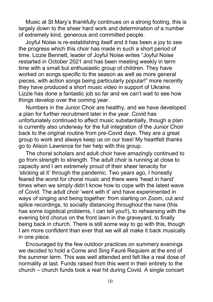Music at St Mary's thankfully continues on a strong footing, this is largely down to the sheer hard work and determination of a number of extremely kind, generous and committed people.

Joyful Noise is re-establishing itself and it has been a joy to see the progress which this choir has made in such a short period of time. Lizzie Bennett, leader of Joyful Noise writes "Joyful Noise restarted in October 2021 and has been meeting weekly in term time with a small but enthusiastic group of children. They have worked on songs specific to the season as well as more general pieces, with action songs being particularly popular!" more recently they have produced a short music video in support of Ukraine. Lizzie has done a fantastic job so far and we can't wait to see how things develop over the coming year.

Numbers in the Junior Choir are healthy, and we have developed a plan for further recruitment later in the year. Covid has unfortunately continued to affect music substantially, though a plan is currently also underway for the full integration of the Junior Choir back to the original routine from pre-Covid days. They are a great group to work and always keep us on our toes! My heartfelt thanks go to Alison Lawrence for her help with this group.

The choral scholars and adult choir have amazingly continued to go from strength to strength. The adult choir is running at close to capacity and I am extremely proud of their sheer tenacity for 'sticking at it' through the pandemic. Two years ago, I honestly feared the worst for choral music and there were 'head in hand' times when we simply didn't know how to cope with the latest wave of Covid. The adult choir 'went with it' and have experimented in ways of singing and being together: from starting on Zoom, cut and splice recordings, to socially distancing throughout the nave (this has some logistical problems, I can tell you!!), to rehearsing with the evening bird chorus on the front lawn in the graveyard, to finally being back in church. There is still some way to go with this, though I am more confident than ever that we will all make it back musically in one piece.

Encouraged by the few outdoor practices on summery evenings we decided to hold a Come and Sing Fauré Requiem at the end of the summer term. This was well attended and felt like a real dose of normality at last. Funds raised from this went in their entirety to the church – church funds took a real hit during Covid. A single concert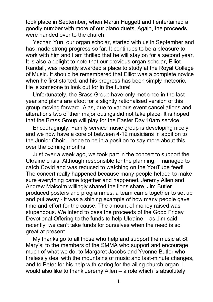took place in September, when Martin Huggett and I entertained a goodly number with more of our piano duets. Again, the proceeds were handed over to the church.

Yechan Yun, our organ scholar, started with us in September and has made strong progress so far. It continues to be a pleasure to work with him and I am thrilled that he will stay on for a second year. It is also a delight to note that our previous organ scholar, Elliot Randall, was recently awarded a place to study at the Royal College of Music. It should be remembered that Elliot was a complete novice when he first started, and his progress has been simply meteoric. He is someone to look out for in the future!

Unfortunately, the Brass Group have only met once in the last year and plans are afoot for a slightly rationalised version of this group moving forward. Alas, due to various event cancellations and alterations two of their major outings did not take place. It is hoped that the Brass Group will play for the Easter Day 10am service.

Encouragingly, Family service music group is developing nicely and we now have a core of between 4-12 musicians in addition to the Junior Choir. I hope to be in a position to say more about this over the coming months.

Just over a week ago, we took part in the concert to support the Ukraine crisis. Although responsible for the planning, I managed to catch Covid and was reduced to watching on the YouTube feed! The concert really happened because many people helped to make sure everything came together and happened. Jeremy Allen and Andrew Malcolm willingly shared the lions share, Jim Butler produced posters and programmes, a team came together to set up and put away - it was a shining example of how many people gave time and effort for the cause. The amount of money raised was stupendous. We intend to pass the proceeds of the Good Friday Devotional Offering to the funds to help Ukraine – as Jim said recently, we can't take funds for ourselves when the need is so great at present.

My thanks go to all those who help and support the music at St Mary's; to the members of the SMMA who support and encourage much of what we do, to Margaret Jacobs and Yvonne Butler who tirelessly deal with the mountains of music and last-minute changes, and to Peter for his help with caring for the ailing church organ. I would also like to thank Jeremy Allen – a role which is absolutely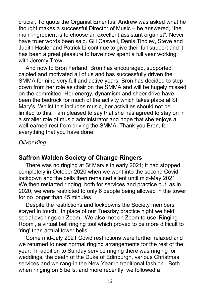crucial. To quote the Organist Emeritus: Andrew was asked what he thought makes a successful Director of Music – he answered, "the main ingredient is to choose an excellent assistant organist". Never have truer words been said. Gill Caswell, Denis Tindley, Steve and Judith Hasler and Patrick Li continue to give their full support and it has been a great pleasure to have now spent a full year working with Jeremy Trew.

And now to Bron Ferland. Bron has encouraged, supported, cajoled and motivated all of us and has successfully driven the SMMA for nine very full and active years. Bron has decided to step down from her role as chair on the SMMA and will be hugely missed on the committee. Her energy, dynamism and sheer drive have been the bedrock for much of the activity which takes place at St Mary's. Whilst this includes music, her activities should not be limited to this. I am pleased to say that she has agreed to stay on in a smaller role of music administrator and hope that she enjoys a well-earned rest from driving the SMMA. Thank you Bron, for everything that you have done!

*Oliver King*

## <span id="page-11-0"></span>**Saffron Walden Society of Change Ringers**

There was no ringing at St Mary's in early 2021; it had stopped completely in October 2020 when we went into the second Covid lockdown and the bells then remained silent until mid-May 2021. We then restarted ringing, both for services and practice but, as in 2020, we were restricted to only 6 people being allowed in the tower for no longer than 45 minutes.

Despite the restrictions and lockdowns the Society members stayed in touch. In place of our Tuesday practice night we held social evenings on Zoom. We also met on Zoom to use 'Ringing Room', a virtual bell ringing tool which proved to be more difficult to 'ring' than actual tower bells.

Come mid-July 2021 Covid restrictions were further relaxed and we returned to near normal ringing arrangements for the rest of the year. In addition to Sunday service ringing there was ringing for weddings, the death of the Duke of Edinburgh, various Christmas services and we rang-in the New Year in traditional fashion. Both when ringing on 6 bells, and more recently, we followed a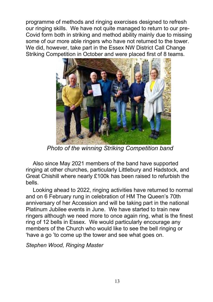programme of methods and ringing exercises designed to refresh our ringing skills. We have not quite managed to return to our pre-Covid form both in striking and method ability mainly due to missing some of our more able ringers who have not returned to the tower. We did, however, take part in the Essex NW District Call Change Striking Competition in October and were placed first of 8 teams.



*Photo of the winning Striking Competition band*

Also since May 2021 members of the band have supported ringing at other churches, particularly Littlebury and Hadstock, and Great Chishill where nearly £100k has been raised to refurbish the bells.

Looking ahead to 2022, ringing activities have returned to normal and on 6 February rung in celebration of HM The Queen's 70th anniversary of her Accession and will be taking part in the national Platinum Jubilee events in June. We have started to train new ringers although we need more to once again ring, what is the finest ring of 12 bells in Essex. We would particularly encourage any members of the Church who would like to see the bell ringing or 'have a go 'to come up the tower and see what goes on.

*Stephen Wood, Ringing Master*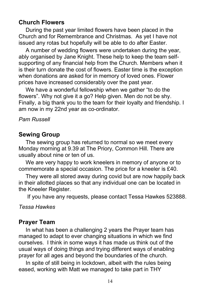## <span id="page-13-0"></span>**Church Flowers**

During the past year limited flowers have been placed in the Church and for Remembrance and Christmas. As yet I have not issued any rotas but hopefully will be able to do after Easter.

A number of wedding flowers were undertaken during the year, ably organised by Jane Knight. These help to keep the team selfsupporting of any financial help from the Church. Members when it is their turn donate the cost of flowers. Easter time is the exception when donations are asked for in memory of loved ones. Flower prices have increased considerably over the past year.

We have a wonderful fellowship when we gather "to do the flowers". Why not give it a go? Help given. Men do not be shy. Finally, a big thank you to the team for their loyalty and friendship. I am now in my 22nd year as co-ordinator.

## *Pam Russell*

## <span id="page-13-1"></span>**Sewing Group**

The sewing group has returned to normal so we meet every Monday morning at 9.39 at The Priory, Common Hill. There are usually about nine or ten of us.

We are very happy to work kneelers in memory of anyone or to commemorate a special occasion. The price for a kneeler is £40.

They were all stored away during covid but are now happily back in their allotted places so that any individual one can be located in the Kneeler Register.

If you have any requests, please contact Tessa Hawkes 523888.

*Tessa Hawkes*

## <span id="page-13-2"></span>**Prayer Team**

In what has been a challenging 2 years the Prayer team has managed to adapt to ever changing situations in which we find ourselves. I think in some ways it has made us think out of the usual ways of doing things and trying different ways of enabling prayer for all ages and beyond the boundaries of the church.

In spite of still being in lockdown, albeit with the rules being eased, working with Matt we managed to take part in THY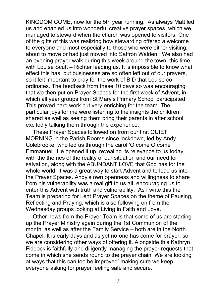KINGDOM COME, now for the 5th year running. As always Matt led us and enabled us into wonderful creative prayer spaces, which we managed to steward when the church was opened to visitors. One of the gifts of this was realizing how stewarding offered a welcome to everyone and most especially to those who were either visiting, about to move or had just moved into Saffron Walden. We also had an evening prayer walk during this week around the town, this time with Louise Scutt – Richter leading us. It is impossible to know what effect this has, but businesses are so often left out of our prayers, so it felt important to pray for the work of BID that Louise coordinates. The feedback from these 10 days so was encouraging that we then put on Prayer Spaces for the first week of Advent, in which all year groups from St Mary's Primary School participated. This proved hard work but very enriching for the team. The particular joys for me were listening to the insights the children shared as well as seeing them bring their parents in after school, excitedly talking them through the experience.

These Prayer Spaces followed on from our first QUIET MORNING in the Parish Rooms since lockdown, led by Andy Colebrooke, who led us through the carol 'O come O come Emmanuel'. He opened it up, revealing its relevance to us today, with the themes of the reality of our situation and our need for salvation, along with the ABUNDANT LOVE that God has for the whole world. It was a great way to start Advent and to lead us into the Prayer Spaces. Andy's own openness and willingness to share from his vulnerability was a real gift to us all, encouraging us to enter this Advent with truth and vulnerability. As I write this the Team is preparing for Lent Prayer Spaces on the theme of Pausing, Reflecting and Praying, which is also following on from the Wednesday groups looking at Living in Faith and Love.

Other news from the Prayer Team is that some of us are starting up the Prayer Ministry again during the 1st Communion of the month, as well as after the Family Service – both are in the North Chapel. It is early days and as yet no-one has come for prayer, so we are considering other ways of offering it. Alongside this Kathryn Fiddock is faithfully and diligently managing the prayer requests that come in which she sends round to the prayer chain. We are looking at ways that this can too be improved' making sure we keep everyone asking for prayer feeling safe and secure.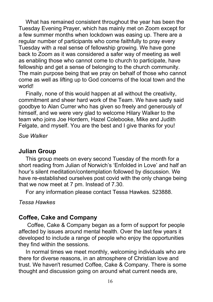What has remained consistent throughout the year has been the Tuesday Evening Prayer, which has mainly met on Zoom except for a few summer months when lockdown was easing up. There are a regular number of participants who come faithfully to pray every Tuesday with a real sense of fellowship growing. We have gone back to Zoom as it was considered a safer way of meeting as well as enabling those who cannot come to church to participate, have fellowship and get a sense of belonging to the church community. The main purpose being that we pray on behalf of those who cannot come as well as lifting up to God concerns of the local town and the world!

Finally, none of this would happen at all without the creativity, commitment and sheer hard work of the Team. We have sadly said goodbye to Alan Currer who has given so freely and generously of himself, and we were very glad to welcome Hilary Walker to the team who joins Joe Hordern, Hazel Colebooke, Mike and Judith Felgate, and myself. You are the best and I give thanks for you!

*Sue Walker*

## <span id="page-15-0"></span>**Julian Group**

This group meets on every second Tuesday of the month for a short reading from Julian of Norwich's 'Enfolded in Love' and half an hour's silent meditation/contemplation followed by discussion. We have re-established ourselves post covid with the only change being that we now meet at 7 pm. Instead of 7.30.

For any information please contact Tessa Hawkes. 523888.

*Tessa Hawkes*

## <span id="page-15-1"></span>**Coffee, Cake and Company**

Coffee, Cake & Company began as a form of support for people affected by issues around mental health. Over the last few years it developed to include a range of people who enjoy the opportunities they find within the sessions.

In normal times we meet monthly, welcoming individuals who are there for diverse reasons, in an atmosphere of Christian love and trust. We haven't resumed Coffee, Cake & Company. There is some thought and discussion going on around what current needs are,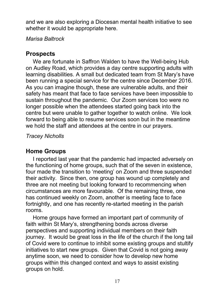and we are also exploring a Diocesan mental health initiative to see whether it would be appropriate here.

*Marisa Baltrock*

## <span id="page-16-0"></span>**Prospects**

We are fortunate in Saffron Walden to have the Well-being Hub on Audley Road, which provides a day centre supporting adults with learning disabilities. A small but dedicated team from St Mary's have been running a special service for the centre since December 2016. As you can imagine though, these are vulnerable adults, and their safety has meant that face to face services have been impossible to sustain throughout the pandemic. Our Zoom services too were no longer possible when the attendees started going back into the centre but were unable to gather together to watch online. We look forward to being able to resume services soon but in the meantime we hold the staff and attendees at the centre in our prayers.

*Tracey Nicholls*

## <span id="page-16-1"></span>**Home Groups**

I reported last year that the pandemic had impacted adversely on the functioning of home groups, such that of the seven in existence, four made the transition to 'meeting' on Zoom and three suspended their activity. Since then, one group has wound up completely and three are not meeting but looking forward to recommencing when circumstances are more favourable. Of the remaining three, one has continued weekly on Zoom, another is meeting face to face fortnightly, and one has recently re-started meeting in the parish rooms.

Home groups have formed an important part of community of faith within St Mary's, strengthening bonds across diverse perspectives and supporting individual members on their faith journey. It would be great loss in the life of the church if the long tail of Covid were to continue to inhibit some existing groups and stultify initiatives to start new groups. Given that Covid is not going away anytime soon, we need to consider how to develop new home groups within this changed context and ways to assist existing groups on hold.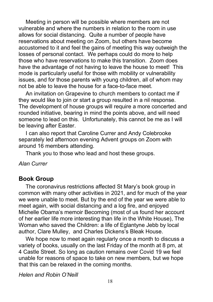Meeting in person will be possible where members are not vulnerable and where the numbers in relation to the room in use allows for social distancing. Quite a number of people have reservations about meeting on Zoom, but others have become accustomed to it and feel the gains of meeting this way outweigh the losses of personal contact. We perhaps could do more to help those who have reservations to make this transition. Zoom does have the advantage of not having to leave the house to meet! This mode is particularly useful for those with mobility or vulnerability issues, and for those parents with young children, all of whom may not be able to leave the house for a face-to-face meet.

An invitation on Grapevine to church members to contact me if they would like to join or start a group resulted in a nil response. The development of house groups will require a more concerted and rounded initiative, bearing in mind the points above, and will need someone to lead on this. Unfortunately, this cannot be me as I will be leaving after Easter.

I can also report that Caroline Currer and Andy Colebrooke separately led afternoon evening Advent groups on Zoom with around 16 members attending.

Thank you to those who lead and host these groups.

#### *Alan Currer*

## <span id="page-17-0"></span>**Book Group**

The coronavirus restrictions affected St Mary's book group in common with many other activities in 2021, and for much of the year we were unable to meet. But by the end of the year we were able to meet again, with social distancing and a log fire, and enjoyed Michelle Obama's memoir Becoming (most of us found her account of her earlier life more interesting than life in the White House), The Woman who saved the Children: a life of Eglantyne Jebb by local author, Clare Mulley, and Charles Dickens's Bleak House.

We hope now to meet again regularly once a month to discuss a variety of books, usually on the last Friday of the month at 8 pm, at 4 Castle Street. So long as caution remains over Covid 19 we feel unable for reasons of space to take on new members, but we hope that this can be relaxed in the coming months.

*Helen and Robin O'Neill*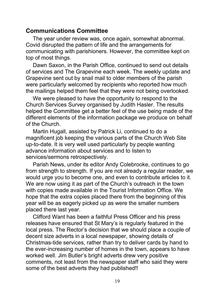## <span id="page-18-0"></span>**Communications Committee**

The year under review was, once again, somewhat abnormal. Covid disrupted the pattern of life and the arrangements for communicating with parishioners. However, the committee kept on top of most things.

Dawn Saxon, in the Parish Office, continued to send out details of services and The Grapevine each week. The weekly update and Grapevine sent out by snail mail to older members of the parish were particularly welcomed by recipients who reported how much the mailings helped them feel that they were not being overlooked.

We were pleased to have the opportunity to respond to the Church Services Survey organised by Judith Hasler. The results helped the Committee get a better feel of the use being made of the different elements of the information package we produce on behalf of the Church.

Martin Hugall, assisted by Patrick Li, continued to do a magnificent job keeping the various parts of the Church Web Site up-to-date. It is very well used particularly by people wanting advance information about services and to listen to services/sermons retrospectively.

Parish News, under its editor Andy Colebrooke, continues to go from strength to strength. If you are not already a regular reader, we would urge you to become one, and even to contribute articles to it. We are now using it as part of the Church's outreach in the town with copies made available in the Tourist Information Office. We hope that the extra copies placed there from the beginning of this year will be as eagerly picked up as were the smaller numbers placed there last year.

Clifford Want has been a faithful Press Officer and his press releases have ensured that St Mary's is regularly featured in the local press. The Rector's decision that we should place a couple of decent size adverts in a local newspaper, showing details of Christmas-tide services, rather than try to deliver cards by hand to the ever-increasing number of homes in the town, appears to have worked well. Jim Butler's bright adverts drew very positive comments, not least from the newspaper staff who said they were some of the best adverts they had published!!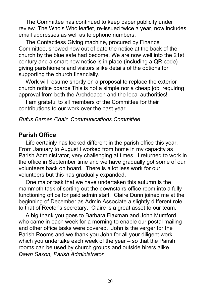The Committee has continued to keep paper publicity under review. The Who's Who leaflet, re-issued twice a year, now includes email addresses as well as telephone numbers.

The Contactless Giving machine, procured by Finance Committee, showed how out of date the notice at the back of the church by the blue safe had become. We are now well into the 21st century and a smart new notice is in place (including a QR code) giving parishioners and visitors alike details of the options for supporting the church financially.

Work will resume shortly on a proposal to replace the exterior church notice boards This is not a simple nor a cheap job, requiring approval from both the Archdeacon and the local authorities!

I am grateful to all members of the Committee for their contributions to our work over the past year.

### *Rufus Barnes Chair, Communications Committee*

## <span id="page-19-0"></span>**Parish Office**

Life certainly has looked different in the parish office this year. From January to August I worked from home in my capacity as Parish Administrator, very challenging at times. I returned to work in the office in September time and we have gradually got some of our volunteers back on board. There is a lot less work for our volunteers but this has gradually expanded.

One major task that we have undertaken this autumn is the mammoth task of sorting out the downstairs office room into a fully functioning office for paid admin staff. Claire Dunn joined me at the beginning of December as Admin Associate a slightly different role to that of Rector's secretary. Claire is a great asset to our team.

A big thank you goes to Barbara Flaxman and John Mumford who came in each week for a morning to enable our postal mailing and other office tasks were covered. John is the verger for the Parish Rooms and we thank you John for all your diligent work which you undertake each week of the year – so that the Parish rooms can be used by church groups and outside hirers alike. *Dawn Saxon, Parish Administrator*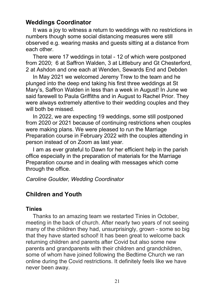## <span id="page-20-0"></span>**Weddings Coordinator**

It was a joy to witness a return to weddings with no restrictions in numbers though some social distancing measures were still observed e.g. wearing masks and guests sitting at a distance from each other.

There were 17 weddings in total - 12 of which were postponed from 2020; 6 at Saffron Walden, 3 at Littlebury and Gt Chesterford, 2 at Ashdon and one each at Wenden, Sewards End and Debden

In May 2021 we welcomed Jeremy Trew to the team and he plunged into the deep end taking his first three weddings at St Mary's, Saffron Walden in less than a week in August! In June we said farewell to Paula Griffiths and in August to Rachel Prior. They were always extremely attentive to their wedding couples and they will both be missed.

In 2022, we are expecting 19 weddings, some still postponed from 2020 or 2021 because of continuing restrictions when couples were making plans. We were pleased to run the Marriage Preparation course in February 2022 with the couples attending in person instead of on Zoom as last year.

I am as ever grateful to Dawn for her efficient help in the parish office especially in the preparation of materials for the Marriage Preparation course and in dealing with messages which come through the office.

*Caroline Goulder, Wedding Coordinator*

## <span id="page-20-1"></span>**Children and Youth**

## **Tinies**

Thanks to an amazing team we restarted Tinies in October, meeting in the back of church. After nearly two years of not seeing many of the children they had, unsurprisingly, grown - some so big that they have started school! It has been great to welcome back returning children and parents after Covid but also some new parents and grandparents with their children and grandchildren, some of whom have joined following the Bedtime Church we ran online during the Covid restrictions. It definitely feels like we have never been away.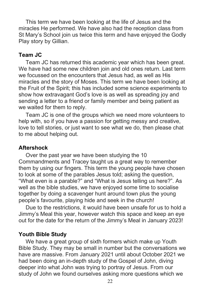This term we have been looking at the life of Jesus and the miracles He performed. We have also had the reception class from St Mary's School join us twice this term and have enjoyed the Godly Play story by Gillian.

### **Team JC**

Team JC has returned this academic year which has been great. We have had some new children join and old ones return. Last term we focussed on the encounters that Jesus had, as well as His miracles and the story of Moses. This term we have been looking at the Fruit of the Spirit; this has included some science experiments to show how extravagant God's love is as well as spreading joy and sending a letter to a friend or family member and being patient as we waited for them to reply.

Team JC is one of the groups which we need more volunteers to help with, so if you have a passion for getting messy and creative, love to tell stories, or just want to see what we do, then please chat to me about helping out.

#### **Aftershock**

Over the past year we have been studying the 10 Commandments and Tracey taught us a great way to remember them by using our fingers. This term the young people have chosen to look at some of the parables Jesus told; asking the question, "What even is a parable?" and "What is Jesus telling us here?". As well as the bible studies, we have enjoyed some time to socialise together by doing a scavenger hunt around town plus the young people's favourite, playing hide and seek in the church!

Due to the restrictions, it would have been unsafe for us to hold a Jimmy's Meal this year, however watch this space and keep an eye out for the date for the return of the Jimmy's Meal in January 2023!

#### **Youth Bible Study**

We have a great group of sixth formers which make up Youth Bible Study. They may be small in number but the conversations we have are massive. From January 2021 until about October 2021 we had been doing an in-depth study of the Gospel of John, diving deeper into what John was trying to portray of Jesus. From our study of John we found ourselves asking more questions which we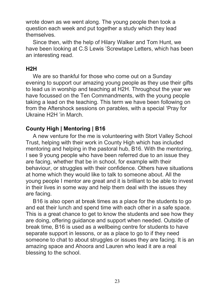wrote down as we went along. The young people then took a question each week and put together a study which they lead themselves.

Since then, with the help of Hilary Walker and Tom Hunt, we have been looking at C.S Lewis 'Screwtape Letters, which has been an interesting read.

#### **H2H**

We are so thankful for those who come out on a Sunday evening to support our amazing young people as they use their gifts to lead us in worship and teaching at H2H. Throughout the year we have focussed on the Ten Commandments, with the young people taking a lead on the teaching. This term we have been following on from the Aftershock sessions on parables, with a special 'Pray for Ukraine H2H 'in March.

## **County High | Mentoring | B16**

A new venture for the me is volunteering with Stort Valley School Trust, helping with their work in County High which has included mentoring and helping in the pastoral hub, B16. With the mentoring, I see 9 young people who have been referred due to an issue they are facing, whether that be in school, for example with their behaviour, or struggles with their confidence. Others have situations at home which they would like to talk to someone about. All the young people I mentor are great and it is brilliant to be able to invest in their lives in some way and help them deal with the issues they are facing.

B16 is also open at break times as a place for the students to go and eat their lunch and spend time with each other in a safe space. This is a great chance to get to know the students and see how they are doing, offering guidance and support when needed. Outside of break time, B16 is used as a wellbeing centre for students to have separate support in lessons, or as a place to go to if they need someone to chat to about struggles or issues they are facing. It is an amazing space and Ahoora and Lauren who lead it are a real blessing to the school.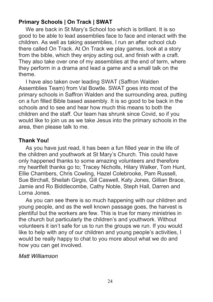## **Primary Schools | On Track | SWAT**

We are back in St Mary's School too which is brilliant. It is so good to be able to lead assemblies face to face and interact with the children. As well as taking assemblies, I run an after school club there called On Track. At On Track we play games, look at a story from the bible, which they enjoy acting out, and finish with a craft. They also take over one of my assemblies at the end of term, where they perform in a drama and lead a game and a small talk on the theme.

I have also taken over leading SWAT (Saffron Walden Assemblies Team) from Val Bowtle. SWAT goes into most of the primary schools in Saffron Walden and the surrounding area, putting on a fun filled Bible based assembly. It is so good to be back in the schools and to see and hear how much this means to both the children and the staff. Our team has shrunk since Covid, so if you would like to join us as we take Jesus into the primary schools in the area, then please talk to me.

## **Thank You!**

As you have just read, it has been a fun filled year in the life of the children and youthwork at St Mary's Church. This could have only happened thanks to some amazing volunteers and therefore my heartfelt thanks go to; Tracey Nicholls, Hilary Walker, Tom Hunt, Ellie Chambers, Chris Cowling, Hazel Colebrooke, Pam Russell, Sue Birchall, Sheilah Girgis, Gill Caswell, Katy Jones, Gillian Brace, Jamie and Ro Biddlecombe, Cathy Noble, Steph Hall, Darren and Lorna Jones.

As you can see there is so much happening with our children and young people, and as the well known passage goes, the harvest is plentiful but the workers are few. This is true for many ministries in the church but particularly the children's and youthwork. Without volunteers it isn't safe for us to run the groups we run. If you would like to help with any of our children and young people's activities, I would be really happy to chat to you more about what we do and how you can get involved.

## *Matt Williamson*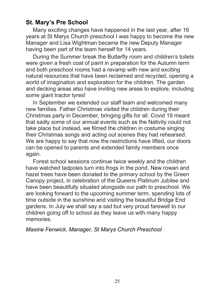## <span id="page-24-0"></span>**St. Mary's Pre School**

Many exciting changes have happened in the last year, after 16 years at St Marys Church preschool I was happy to become the new Manager and Lisa Wightman became the new Deputy Manager having been part of the team herself for 14 years.

During the Summer break the Butterfly room and children's toilets were given a fresh coat of paint in preparation for the Autumn term and both preschool rooms had a revamp with new and exciting natural resources that have been reclaimed and recycled, opening a world of imagination and exploration for the children. The garden and decking areas also have inviting new areas to explore, including some giant tractor tyres!

In September we extended our staff team and welcomed many new families. Father Christmas visited the children during their Christmas party in December, bringing gifts for all. Covid 19 meant that sadly some of our annual events such as the Nativity could not take place but instead, we filmed the children in costume singing their Christmas songs and acting out scenes they had rehearsed. We are happy to say that now the restrictions have lifted, our doors can be opened to parents and extended family members once again.

Forest school sessions continue twice weekly and the children have watched tadpoles turn into frogs in the pond. New rowan and hazel trees have been donated to the primary school by the Green Canopy project, in celebration of the Queens Platinum Jubilee and have been beautifully situated alongside our path to preschool. We are looking forward to the upcoming summer term, spending lots of time outside in the sunshine and visiting the beautiful Bridge End gardens. In July we shall say a sad but very proud farewell to our children going off to school as they leave us with many happy memories.

## *Maxine Fenwick, Manager, St Marys Church Preschool*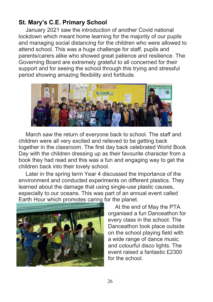## <span id="page-25-0"></span>**St. Mary's C.E. Primary School**

January 2021 saw the introduction of another Covid national lockdown which meant home learning for the majority of our pupils and managing social distancing for the children who were allowed to attend school. This was a huge challenge for staff, pupils and parents/carers alike who showed great patience and resilience. The Governing Board are extremely grateful to all concerned for their support and for seeing the school through this trying and stressful period showing amazing flexibility and fortitude.



March saw the return of everyone back to school. The staff and children were all very excited and relieved to be getting back together in the classroom. The first day back celebrated World Book Day with the children dressing up as their favourite character from a book they had read and this was a fun and engaging way to get the children back into their lovely school.

Later in the spring term Year 4 discussed the importance of the environment and conducted experiments on different plastics. They learned about the damage that using single-use plastic causes, especially to our oceans. This was part of an annual event called Earth Hour which promotes caring for the planet.



At the end of May the PTA organised a fun Danceathon for every class in the school. The Danceathon took place outside on the school playing field with a wide range of dance music and colourful disco lights. The event raised a fantastic £2300 for the school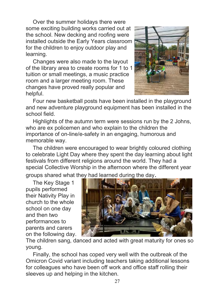Over the summer holidays there were some exciting building works carried out at the school. New decking and roofing were installed outside the Early Years classroom for the children to enjoy outdoor play and learning.

Changes were also made to the layout of the library area to create rooms for 1 to 1 tuition or small meetings, a music practice room and a larger meeting room. These changes have proved really popular and helpful.



Four new basketball posts have been installed in the playground and new adventure playground equipment has been installed in the school field.

Highlights of the autumn term were sessions run by the 2 Johns, who are ex policemen and who explain to the children the importance of on-line/e-safety in an engaging, humorous and memorable way.

The children were encouraged to wear brightly coloured clothing to celebrate Light Day where they spent the day learning about light festivals from different religions around the world. They had a special Collective Worship in the afternoon where the different year groups shared what they had learned during the day.

The Key Stage 1 pupils performed their Nativity Play in church to the whole school on one day and then two performances to parents and carers on the following day.



The children sang, danced and acted with great maturity for ones so young.

Finally, the school has coped very well with the outbreak of the Omicron Covid variant including teachers taking additional lessons for colleagues who have been off work and office staff rolling their sleeves up and helping in the kitchen.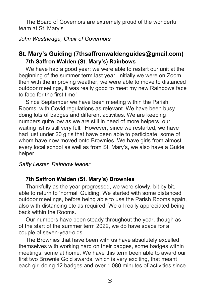The Board of Governors are extremely proud of the wonderful team at St. Mary's.

*John Westnedge, Chair of Governors*

## <span id="page-27-0"></span>**St. Mary's Guiding [\(7thsaffronwaldenguides@gmail.com\)](mailto:7thsaffronwaldenguides@gmail.com) 7th Saffron Walden (St. Mary's) Rainbows**

We have had a good year; we were able to restart our unit at the beginning of the summer term last year. Initially we were on Zoom, then with the improving weather, we were able to move to distanced outdoor meetings, it was really good to meet my new Rainbows face to face for the first time!

Since September we have been meeting within the Parish Rooms, with Covid regulations as relevant. We have been busy doing lots of badges and different activities. We are keeping numbers quite low as we are still in need of more helpers, our waiting list is still very full. However, since we restarted, we have had just under 20 girls that have been able to participate, some of whom have now moved onto Brownies. We have girls from almost every local school as well as from St. Mary's, we also have a Guide helper.

## *Saffy Lester, Rainbow leader*

## **7th Saffron Walden (St. Mary's) Brownies**

Thankfully as the year progressed, we were slowly, bit by bit, able to return to 'normal' Guiding. We started with some distanced outdoor meetings, before being able to use the Parish Rooms again, also with distancing etc as required. We all really appreciated being back within the Rooms.

Our numbers have been steady throughout the year, though as of the start of the summer term 2022, we do have space for a couple of seven-year-olds.

The Brownies that have been with us have absolutely excelled themselves with working hard on their badges, some badges within meetings, some at home. We have this term been able to award our first two Brownie Gold awards, which is very exciting, that meant each girl doing 12 badges and over 1,080 minutes of activities since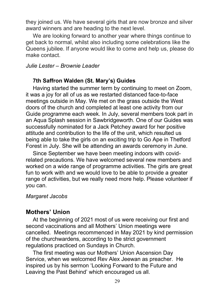thev ioined us. We have several girls that are now bronze and silver award winners and are heading to the next level.

We are looking forward to another year where things continue to get back to normal, whilst also including some celebrations like the Queens jubilee. If anyone would like to come and help us, please do make contact.

## *Julie Lester – Brownie Leader*

### **7th Saffron Walden (St. Mary's) Guides**

Having started the summer term by continuing to meet on Zoom, it was a joy for all of us as we restarted distanced face-to-face meetings outside in May. We met on the grass outside the West doors of the church and completed at least one activity from our Guide programme each week. In July, several members took part in an Aqua Splash session in Sawbridgeworth. One of our Guides was successfully nominated for a Jack Petchey award for her positive attitude and contribution to the life of the unit, which resulted us being able to take the girls on an exciting trip to Go Ape in Thetford Forest in July. She will be attending an awards ceremony in June.

Since September we have been meeting indoors with covidrelated precautions. We have welcomed several new members and worked on a wide range of programme activities. The girls are great fun to work with and we would love to be able to provide a greater range of activities, but we really need more help. Please volunteer if you can.

#### *Margaret Jacobs*

## <span id="page-28-0"></span>**Mothers' Union**

At the beginning of 2021 most of us were receiving our first and second vaccinations and all Mothers' Union meetings were cancelled. Meetings recommenced in May 2021 by kind permission of the churchwardens, according to the strict government regulations practiced on Sundays in Church.

The first meeting was our Mothers' Union Ascension Day Service, when we welcomed Rev Alex Jeewan as preacher. He inspired us by his sermon 'Looking Forward to the Future and Leaving the Past Behind' which encouraged us all.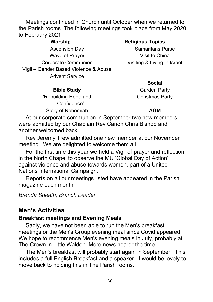Meetings continued in Church until October when we returned to the Parish rooms. The following meetings took place from May 2020 to February 2021

**Worship Religious Topics** Ascension Day **Samaritans Purse** Wave of Prayer **Visit to China** Corporate Communion Visiting & Living in Israel Vigil – Gender Based Violence & Abuse Advent Service

**Bible Study** Garden Party 'Rebuilding Hope and Confidence' Story of Nehemiah **AGM** 

**Social**

Christmas Party

At our corporate communion in September two new members were admitted by our Chaplain Rev Canon Chris Bishop and another welcomed back.

Rev Jeremy Trew admitted one new member at our November meeting. We are delighted to welcome them all.

For the first time this year we held a Vigil of prayer and reflection in the North Chapel to observe the MU 'Global Day of Action' against violence and abuse towards women, part of a United Nations International Campaign.

Reports on all our meetings listed have appeared in the Parish magazine each month.

#### *Brenda Sheath, Branch Leader*

## <span id="page-29-0"></span>**Men's Activities**

#### **Breakfast meetings and Evening Meals**

Sadly, we have not been able to run the Men's breakfast meetings or the Men's Group evening meal since Covid appeared. We hope to recommence Men's evening meals in July, probably at The Crown in Little Walden. More news nearer the time.

The Men's breakfast will probably start again in September. This includes a full English Breakfast and a speaker. It would be lovely to move back to holding this in The Parish rooms.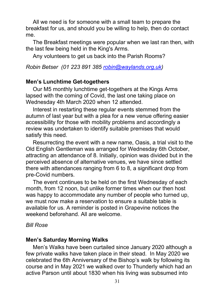All we need is for someone with a small team to prepare the breakfast for us, and should you be willing to help, then do contact me.

The Breakfast meetings were popular when we last ran then, with the last few being held in the King's Arms.

Any volunteers to get us back into the Parish Rooms?

*Robin Betser (01 223 891 385 [robin@waylands.org.uk\)](mailto:robin@waylands.org.uk)*

## **Men's Lunchtime Get-togethers**

Our M5 monthly lunchtime get-togethers at the Kings Arms lapsed with the coming of Covid, the last one taking place on Wednesday 4th March 2020 when 12 attended.

Interest in restarting these regular events stemmed from the autumn of last year but with a plea for a new venue offering easier accessibility for those with mobility problems and accordingly a review was undertaken to identify suitable premises that would satisfy this need.

Resurrecting the event with a new name, Oasis, a trial visit to the Old English Gentleman was arranged for Wednesday 6th October, attracting an attendance of 8. Initially, opinion was divided but in the perceived absence of alternative venues, we have since settled there with attendances ranging from 6 to 8, a significant drop from pre-Covid numbers.

The event continues to be held on the first Wednesday of each month, from 12 noon, but unlike former times when our then host was happy to accommodate any number of people who turned up, we must now make a reservation to ensure a suitable table is available for us. A reminder is posted in Grapevine notices the weekend beforehand. All are welcome.

## *Bill Rose*

## **Men's Saturday Morning Walks**

Men's Walks have been curtailed since January 2020 although a few private walks have taken place in their stead. In May 2020 we celebrated the 6th Anniversary of the Bishop's walk by following its course and in May 2021 we walked over to Thunderly which had an active Parson until about 1830 when his living was subsumed into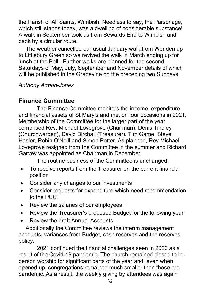the Parish of All Saints, Wimbish. Needless to say, the Parsonage, which still stands today, was a dwelling of considerable substance! A walk in September took us from Sewards End to Wimbish and back by a circular route.

The weather cancelled our usual January walk from Wenden up to Littlebury Green so we revived the walk in March ending up for lunch at the Bell. Further walks are planned for the second Saturdays of May, July, September and November details of which will be published in the Grapevine on the preceding two Sundays

## *Anthony Armon-Jones*

## <span id="page-31-0"></span>**Finance Committee**

The Finance Committee monitors the income, expenditure and financial assets of St Mary's and met on four occasions in 2021. Membership of the Committee for the larger part of the year comprised Rev. Michael Lovegrove (Chairman), Denis Tindley (Churchwarden), David Birchall (Treasurer), Tim Game, Steve Hasler, Robin O'Neill and Simon Potter. As planned, Rev Michael Lovegrove resigned from the Committee in the summer and Richard Garvey was appointed as Chairman in December.

The routine business of the Committee is unchanged:

- To receive reports from the Treasurer on the current financial position
- Consider any changes to our investments
- Consider requests for expenditure which need recommendation to the PCC
- Review the salaries of our employees
- Review the Treasurer's proposed Budget for the following year
- Review the draft Annual Accounts

Additionally the Committee reviews the interim management accounts, variances from Budget, cash reserves and the reserves policy.

2021 continued the financial challenges seen in 2020 as a result of the Covid-19 pandemic. The church remained closed to inperson worship for significant parts of the year and, even when opened up, congregations remained much smaller than those prepandemic. As a result, the weekly giving by attendees was again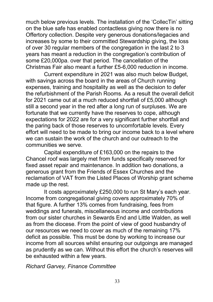much below previous levels. The installation of the 'CollecTin' sitting on the blue safe has enabled contactless giving now there is no Offertory collection. Despite very generous donations/legacies and increases by some to their committed Stewardship giving, the loss of over 30 regular members of the congregation in the last 2 to 3 years has meant a reduction in the congregation's contribution of some £20,000pa. over that period. The cancellation of the Christmas Fair also meant a further £5-6,000 reduction in income.

Current expenditure in 2021 was also much below Budget, with savings across the board in the areas of Church running expenses, training and hospitality as well as the decision to defer the refurbishment of the Parish Rooms. As a result the overall deficit for 2021 came out at a much reduced shortfall of £5,000 although still a second year in the red after a long run of surpluses. We are fortunate that we currently have the reserves to cope, although expectations for 2022 are for a very significant further shortfall and the paring back of those reserves to uncomfortable levels. Every effort will need to be made to bring our income back to a level where we can sustain the work of the church and our outreach to the communities we serve.

Capital expenditure of £163,000 on the repairs to the Chancel roof was largely met from funds specifically reserved for fixed asset repair and maintenance. In addition two donations, a generous grant from the Friends of Essex Churches and the reclamation of VAT from the Listed Places of Worship grant scheme made up the rest.

It costs approximately £250,000 to run St Mary's each year. Income from congregational giving covers approximately 70% of that figure. A further 13% comes from fundraising, fees from weddings and funerals, miscellaneous income and contributions from our sister churches in Sewards End and Little Walden, as well as from the diocese. From the point of view of good husbandry of our resources we need to cover as much of the remaining 17% deficit as possible. This must be done by working to increase our income from all sources whilst ensuring our outgoings are managed as prudently as we can. Without this effort the church's reserves will be exhausted within a few years.

*Richard Garvey, Finance Committee*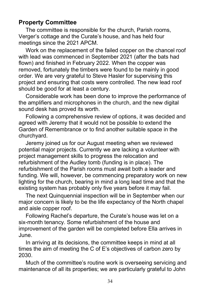## <span id="page-33-0"></span>**Property Committee**

The committee is responsible for the church, Parish rooms, Verger's cottage and the Curate's house, and has held four meetings since the 2021 APCM.

Work on the replacement of the failed copper on the chancel roof with lead was commenced in September 2021 (after the bats had flown) and finished in February 2022. When the copper was removed, fortunately the timbers were found to be mainly in good order. We are very grateful to Steve Hasler for supervising this project and ensuring that costs were controlled. The new lead roof should be good for at least a century.

Considerable work has been done to improve the performance of the amplifiers and microphones in the church, and the new digital sound desk has proved its worth.

Following a comprehensive review of options, it was decided and agreed with Jeremy that it would not be possible to extend the Garden of Remembrance or to find another suitable space in the churchyard.

Jeremy joined us for our August meeting when we reviewed potential major projects. Currently we are lacking a volunteer with project management skills to progress the relocation and refurbishment of the Audley tomb (funding is in place). The refurbishment of the Parish rooms must await both a leader and funding. We will, however, be commencing preparatory work on new lighting for the church, bearing in mind a long lead time and that the existing system has probably only five years before it may fail.

The next Quinquennial inspection will be in September when our major concern is likely to be the life expectancy of the North chapel and aisle copper roof.

Following Rachel's departure, the Curate's house was let on a six-month tenancy. Some refurbishment of the house and improvement of the garden will be completed before Ella arrives in June.

In arriving at its decisions, the committee keeps in mind at all times the aim of meeting the C of E's objectives of carbon zero by 2030.

Much of the committee's routine work is overseeing servicing and maintenance of all its properties; we are particularly grateful to John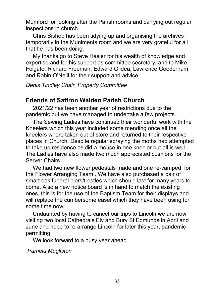Mumford for looking after the Parish rooms and carrying out regular inspections in church.

Chris Bishop has been tidying up and organising the archives temporarily in the Muniments room and we are very grateful for all that he has been doing.

My thanks go to Steve Hasler for his wealth of knowledge and expertise and for his support as committee secretary, and to Mike Felgate, Richard Freeman, Edward Gildea, Lawrence Gooderham and Robin O'Neill for their support and advice.

*Denis Tindley Chair, Property Committee* 

## <span id="page-34-0"></span>**Friends of Saffron Walden Parish Church**

2021/22 has been another year of restrictions due to the pandemic but we have managed to undertake a few projects.

The Sewing Ladies have continued their wonderful work with the Kneelers which this year included some mending once all the kneelers where taken out of store and returned to their respective places in Church. Despite regular spraying the moths had attempted to take up residence as did a mouse in one kneeler but all is well. The Ladies have also made two much appreciated cushions for the Server Chairs

We had two new flower pedestals made and one re-vamped for the Flower Arranging Team . We have also purchased a pair of smart oak funeral biers/trestles which should last for many years to come. Also a new notice board is in hand to match the existing ones, this is for the use of the Baptism Team for their displays and will replace the cumbersome easel which they have been using for some time now.

Undaunted by having to cancel our trips to Lincoln we are now visiting two local Cathedrals Ely and Bury St Edmunds in April and June and hope to re-arrange Lincoln for later this year, pandemic permitting.

We look forward to a busy year ahead.

*Pamela Mugliston*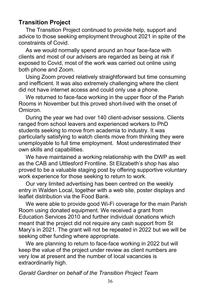## <span id="page-35-0"></span>**Transition Project**

The Transition Project continued to provide help, support and advice to those seeking employment throughout 2021 in spite of the constraints of Covid.

As we would normally spend around an hour face-face with clients and most of our advisers are regarded as being at risk if exposed to Covid, most of the work was carried out online using both phone and Zoom.

Using Zoom proved relatively straightforward but time consuming and inefficient. It was also extremely challenging where the client did not have internet access and could only use a phone.

We returned to face-face working in the upper floor of the Parish Rooms in November but this proved short-lived with the onset of Omicron.

During the year we had over 140 client-adviser sessions. Clients ranged from school leavers and experienced workers to PhD students seeking to move from academia to industry. It was particularly satisfying to watch clients move from thinking they were unemployable to full time employment. Most underestimated their own skills and capabilities.

We have maintained a working relationship with the DWP as well as the CAB and Uttlesford Frontline. St Elizabeth's shop has also proved to be a valuable staging post by offering supportive voluntary work experience for those seeking to return to work.

Our very limited advertising has been centred on the weekly entry in Walden Local, together with a web site, poster displays and leaflet distribution via the Food Bank.

We were able to provide good Wi-Fi coverage for the main Parish Room using donated equipment. We received a grant from Education Services 2010 and further individual donations which meant that the project did not require any cash support from St Mary's in 2021. The grant will not be repeated in 2022 but we will be seeking other funding where appropriate.

We are planning to return to face-face working in 2022 but will keep the value of the project under review as client numbers are very low at present and the number of local vacancies is extraordinarily high.

*Gerald Gardner on behalf of the Transition Project Team*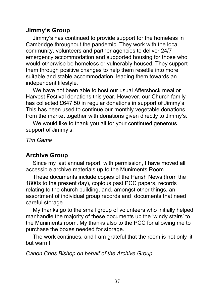## <span id="page-36-0"></span>**Jimmy's Group**

Jimmy's has continued to provide support for the homeless in Cambridge throughout the pandemic. They work with the local community, volunteers and partner agencies to deliver 24/7 emergency accommodation and supported housing for those who would otherwise be homeless or vulnerably housed. They support them through positive changes to help them resettle into more suitable and stable accommodation, leading them towards an independent lifestyle.

We have not been able to host our usual Aftershock meal or Harvest Festival donations this year. However, our Church family has collected £647.50 in regular donations in support of Jimmy's. This has been used to continue our monthly vegetable donations from the market together with donations given directly to Jimmy's.

We would like to thank you all for your continued generous support of Jimmy's.

*Tim Game*

## <span id="page-36-1"></span>**Archive Group**

Since my last annual report, with permission, I have moved all accessible archive materials up to the Muniments Room.

These documents include copies of the Parish News (from the 1800s to the present day), copious past PCC papers, records relating to the church building, and, amongst other things, an assortment of individual group records and documents that need careful storage.

My thanks go to the small group of volunteers who initially helped manhandle the majority of these documents up the 'windy stairs' to the Muniments room. My thanks also to the PCC for allowing me to purchase the boxes needed for storage.

The work continues, and I am grateful that the room is not only lit but warm!

## *Canon Chris Bishop on behalf of the Archive Group*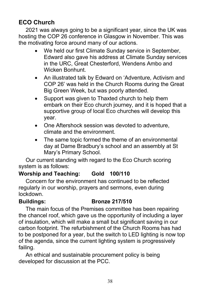## <span id="page-37-0"></span>**ECO Church**

2021 was always going to be a significant year, since the UK was hosting the COP 26 conference in Glasgow in November. This was the motivating force around many of our actions.

- We held our first Climate Sunday service in September, Edward also gave his address at Climate Sunday services in the URC, Great Chesterford, Wendens Ambo and Wicken Bonhunt.
- An illustrated talk by Edward on 'Adventure, Activism and COP 26' was held in the Church Rooms during the Great Big Green Week, but was poorly attended.
- Support was given to Thaxted church to help them embark on their Eco church journey, and it is hoped that a supportive group of local Eco churches will develop this year.
- One Aftershock session was devoted to adventure, climate and the environment.
- The same topic formed the theme of an environmental day at Dame Bradbury's school and an assembly at St Mary's Primary School.

Our current standing with regard to the Eco Church scoring system is as follows:

## **Worship and Teaching: Gold 100/110**

Concern for the environment has continued to be reflected regularly in our worship, prayers and sermons, even during lockdown.

## **Buildings: Bronze 217/510**

The main focus of the Premises committee has been repairing the chancel roof, which gave us the opportunity of including a layer of insulation, which will make a small but significant saving in our carbon footprint. The refurbishment of the Church Rooms has had to be postponed for a year, but the switch to LED lighting is now top of the agenda, since the current lighting system is progressively failing.

An ethical and sustainable procurement policy is being developed for discussion at the PCC.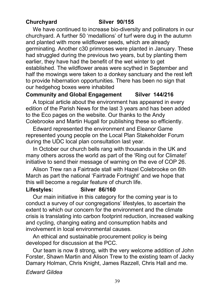## **Churchyard Silver 90/155**

We have continued to increase bio-diversity and pollinators in our churchyard. A further 50 'medallions' of turf were dug in the autumn and planted with more wildflower seeds, which are already germinating. Another c30 primroses were planted in January. These had struggled during the previous two years, but by planting them earlier, they have had the benefit of the wet winter to get established. The wildflower areas were scythed in September and half the mowings were taken to a donkey sanctuary and the rest left to provide hibernation opportunities. There has been no sign that our hedgehog boxes were inhabited

## **Community and Global Engagement Silver 144/216**

A topical article about the environment has appeared in every edition of the Parish News for the last 3 years and has been added to the Eco pages on the website. Our thanks to the Andy Colebrooke and Martin Hugall for publishing these so efficiently.

Edward represented the environment and Eleanor Game represented young people on the Local Plan Stakeholder Forum during the UDC local plan consultation last year.

In October our church bells rang with thousands in the UK and many others across the world as part of the 'Ring out for Climate!' initiative to send their message of warning on the eve of COP 26.

Alison Trew ran a Fairtrade stall with Hazel Colebrooke on 6th March as part the national 'Fairtrade Fortnight' and we hope that this will become a regular feature of church life.

#### **Lifestyles: Silver 86/160**

Our main initiative in this category for the coming year is to conduct a survey of our congregations' lifestyles, to ascertain the extent to which our concern for the environment and the climate crisis is translating into carbon footprint reduction, increased walking and cycling, changing eating and consumption habits and involvement in local environmental causes.

An ethical and sustainable procurement policy is being developed for discussion at the PCC.

Our team is now 8 strong, with the very welcome addition of John Forster, Shawn Martin and Alison Trew to the existing team of Jacky Damary Holman, Chris Knight, James Razzell, Chris Hall and me.

*Edward Gildea*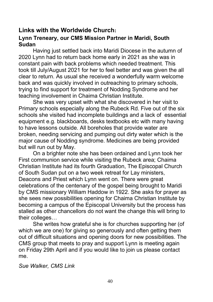## <span id="page-39-0"></span>**Links with the Worldwide Church: Lynn Treneary, our CMS Mission Partner in Maridi, South Sudan**

Having just settled back into Maridi Diocese in the autumn of 2020 Lynn had to return back home early in 2021 as she was in constant pain with back problems which needed treatment. This took till July/August 2021 for her to feel better and was given the all clear to return. As usual she received a wonderfully warm welcome back and was quickly involved in outreaching to primary schools, trying to find support for treatment of Nodding Syndrome and her teaching involvement in Chaima Christian Institute.

She was very upset with what she discovered in her visit to Primary schools especially along the Rubeck Rd. Five out of the six schools she visited had incomplete buildings and a lack of essential equipment e.g. blackboards, desks textbooks etc with many having to have lessons outside. All boreholes that provide water are broken, needing servicing and pumping out dirty water which is the major cause of Nodding syndrome. Medicines are being provided but will run out by May.

On a brighter note she has been ordained and Lynn took her First communion service while visiting the Rubeck area; Chaima Christian Institute had its fourth Graduation, The Episcopal Church of South Sudan put on a two week retreat for Lay ministers, Deacons and Priest which Lynn went on. There were great celebrations of the centenary of the gospel being brought to Maridi by CMS missionary William Haddow in 1922. She asks for prayer as she sees new possibilities opening for Chaima Christian Institute by becoming a campus of the Episcopal University but the process has stalled as other chancellors do not want the change this will bring to their colleges…

She writes how grateful she is for churches supporting her (of which we are one) for giving so generously and often getting them out of difficult situations and opening doors for new possibilities. The CMS group that meets to pray and support Lynn is meeting again on Friday 29th April and if you would like to join us please contact me.

*Sue Walker, CMS Link*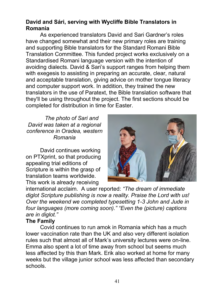## **David and Sári, serving with Wycliffe Bible Translators in Romania**

As experienced translators David and Sari Gardner's roles have changed somewhat and their new primary roles are training and supporting Bible translators for the Standard Romani Bible Translation Committee. This funded project works exclusively on a Standardised Romani language version with the intention of avoiding dialects. David & Sari's support ranges from helping them with exegesis to assisting in preparing an accurate, clear, natural and acceptable translation, giving advice on mother tongue literacy and computer support work. In addition, they trained the new translators in the use of Paratext, the Bible translation software that they'll be using throughout the project. The first sections should be completed for distribution in time for Easter.

### *The photo of Sari and David was taken at a regional conference in Oradea, western Romania*

David continues working on PTXprint, so that producing appealing trial editions of Scripture is within the grasp of translation teams worldwide. This work is already receiving



international acclaim. A user reported: *"The dream of immediate diglot Scripture publishing is now a reality. Praise the Lord with us! Over the weekend we completed typesetting 1-3 John and Jude in four languages (more coming soon)." "Even the (picture) captions are in diglot."*

## **The Family**

Covid continues to run amok in Romania which has a much lower vaccination rate than the UK and also very different isolation rules such that almost all of Mark's university lectures were on-line. Emma also spent a lot of time away from school but seems much less affected by this than Mark. Erik also worked at home for many weeks but the village junior school was less affected than secondary schools.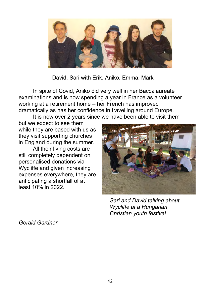

David. Sari with Erik, Aniko, Emma, Mark

In spite of Covid, Aniko did very well in her Baccalaureate examinations and is now spending a year in France as a volunteer working at a retirement home – her French has improved dramatically as has her confidence in travelling around Europe.

It is now over 2 years since we have been able to visit them

but we expect to see them while they are based with us as they visit supporting churches in England during the summer.

All their living costs are still completely dependent on personalised donations via Wycliffe and given increasing expenses everywhere, they are anticipating a shortfall of at least 10% in 2022.



*Sari and David talking about Wycliffe at a Hungarian Christian youth festival*

*Gerald Gardner*